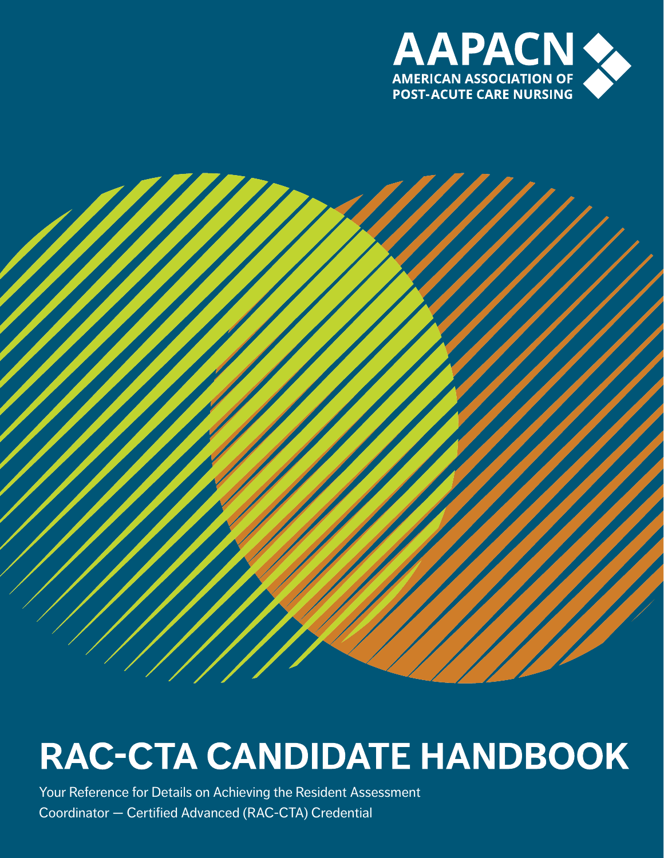



# **RAC-CTA CANDIDATE HANDBOOK**

Your Reference for Details on Achieving the Resident Assessment Coordinator — Certified Advanced (RAC-CTA) Credential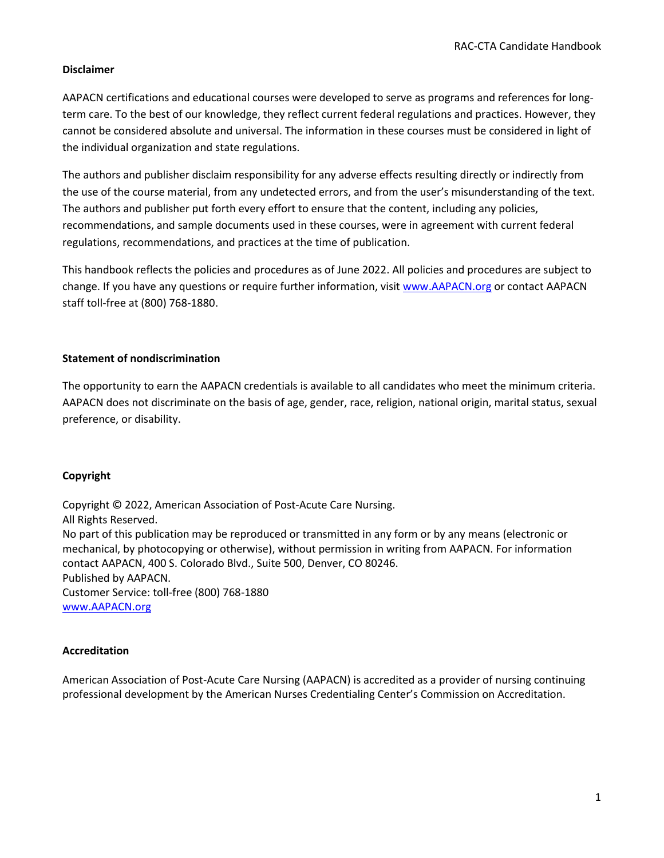#### **Disclaimer**

AAPACN certifications and educational courses were developed to serve as programs and references for longterm care. To the best of our knowledge, they reflect current federal regulations and practices. However, they cannot be considered absolute and universal. The information in these courses must be considered in light of the individual organization and state regulations.

The authors and publisher disclaim responsibility for any adverse effects resulting directly or indirectly from the use of the course material, from any undetected errors, and from the user's misunderstanding of the text. The authors and publisher put forth every effort to ensure that the content, including any policies, recommendations, and sample documents used in these courses, were in agreement with current federal regulations, recommendations, and practices at the time of publication.

This handbook reflects the policies and procedures as of June 2022. All policies and procedures are subject to change. If you have any questions or require further information, visi[t www.AAPACN.org](http://www.aapacn.org/) or contact AAPACN staff toll-free at (800) 768-1880.

#### **Statement of nondiscrimination**

The opportunity to earn the AAPACN credentials is available to all candidates who meet the minimum criteria. AAPACN does not discriminate on the basis of age, gender, race, religion, national origin, marital status, sexual preference, or disability.

#### **Copyright**

Copyright © 2022, American Association of Post-Acute Care Nursing. All Rights Reserved. No part of this publication may be reproduced or transmitted in any form or by any means (electronic or mechanical, by photocopying or otherwise), without permission in writing from AAPACN. For information contact AAPACN, 400 S. Colorado Blvd., Suite 500, Denver, CO 80246. Published by AAPACN. Customer Service: toll-free (800) 768-1880 [www.AAPACN.org](http://www.aapacn.org/)

#### **Accreditation**

American Association of Post-Acute Care Nursing (AAPACN) is accredited as a provider of nursing continuing professional development by the American Nurses Credentialing Center's Commission on Accreditation.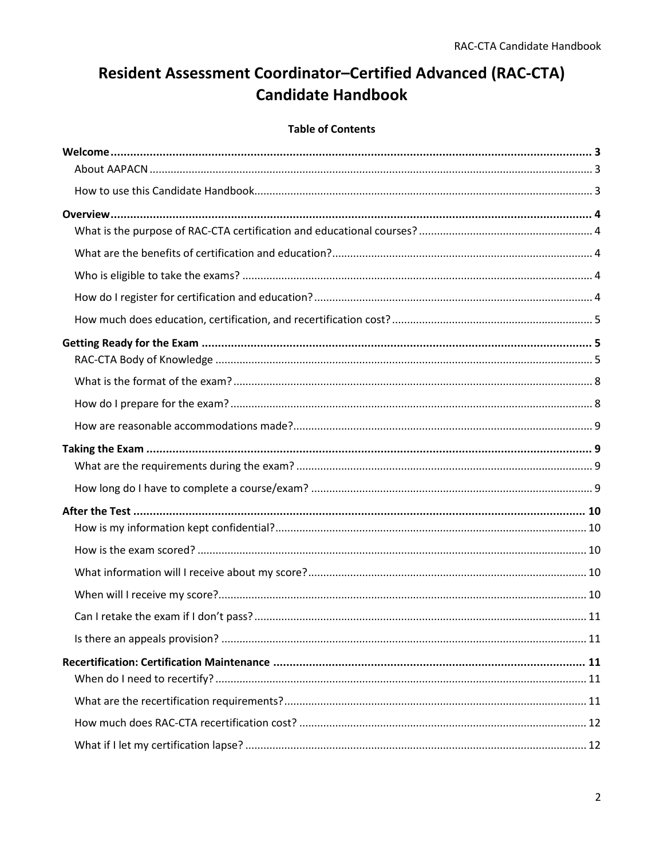## Resident Assessment Coordinator-Certified Advanced (RAC-CTA) **Candidate Handbook**

### **Table of Contents**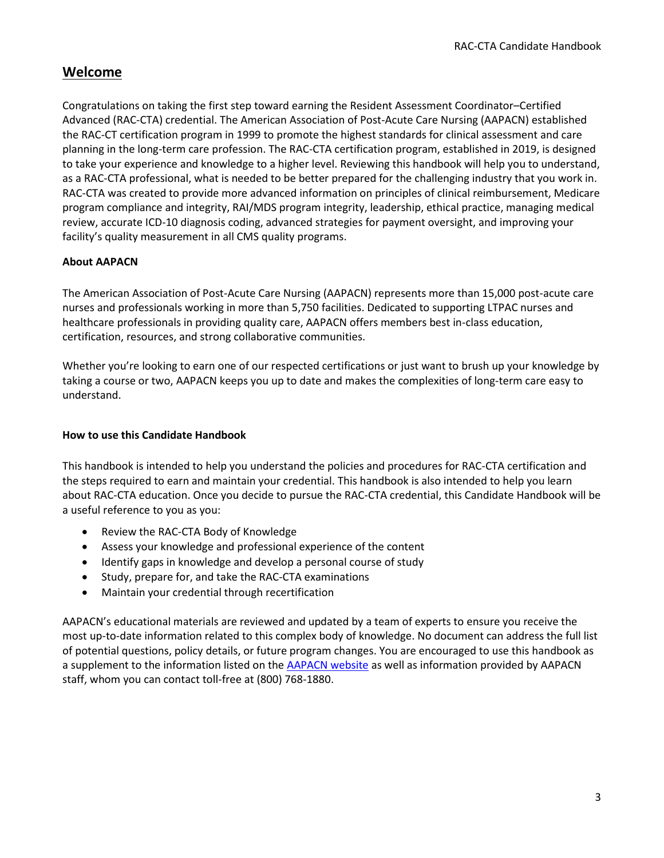## <span id="page-3-0"></span>**Welcome**

Congratulations on taking the first step toward earning the Resident Assessment Coordinator–Certified Advanced (RAC-CTA) credential. The American Association of Post-Acute Care Nursing (AAPACN) established the RAC-CT certification program in 1999 to promote the highest standards for clinical assessment and care planning in the long-term care profession. The RAC-CTA certification program, established in 2019, is designed to take your experience and knowledge to a higher level. Reviewing this handbook will help you to understand, as a RAC-CTA professional, what is needed to be better prepared for the challenging industry that you work in. RAC-CTA was created to provide more advanced information on principles of clinical reimbursement, Medicare program compliance and integrity, RAI/MDS program integrity, leadership, ethical practice, managing medical review, accurate ICD-10 diagnosis coding, advanced strategies for payment oversight, and improving your facility's quality measurement in all CMS quality programs.

## <span id="page-3-1"></span>**About AAPACN**

The American Association of Post-Acute Care Nursing (AAPACN) represents more than 15,000 post-acute care nurses and professionals working in more than 5,750 facilities. Dedicated to supporting LTPAC nurses and healthcare professionals in providing quality care, AAPACN offers members best in-class education, certification, resources, and strong collaborative communities.

Whether you're looking to earn one of our respected certifications or just want to brush up your knowledge by taking a course or two, AAPACN keeps you up to date and makes the complexities of long-term care easy to understand.

#### <span id="page-3-2"></span>**How to use this Candidate Handbook**

This handbook is intended to help you understand the policies and procedures for RAC-CTA certification and the steps required to earn and maintain your credential. This handbook is also intended to help you learn about RAC-CTA education. Once you decide to pursue the RAC-CTA credential, this Candidate Handbook will be a useful reference to you as you:

- Review the RAC-CTA Body of Knowledge
- Assess your knowledge and professional experience of the content
- Identify gaps in knowledge and develop a personal course of study
- Study, prepare for, and take the RAC-CTA examinations
- Maintain your credential through recertification

AAPACN's educational materials are reviewed and updated by a team of experts to ensure you receive the most up-to-date information related to this complex body of knowledge. No document can address the full list of potential questions, policy details, or future program changes. You are encouraged to use this handbook as a supplement to the information listed on th[e AAPACN](http://www.aapacn.org/) website as well as information provided by AAPACN staff, whom you can contact toll-free at (800) 768-1880.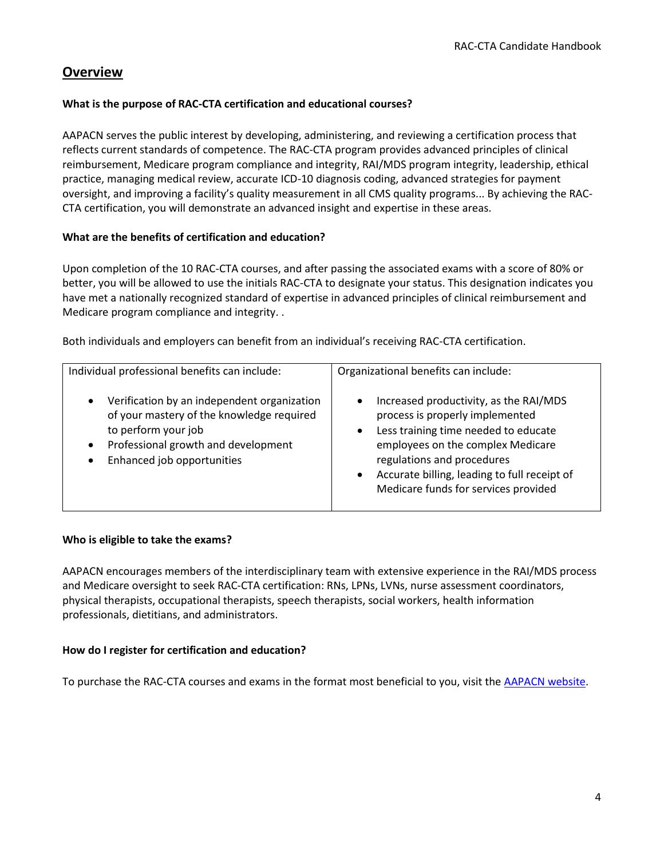## <span id="page-4-0"></span>**Overview**

#### <span id="page-4-1"></span>**What is the purpose of RAC-CTA certification and educational courses?**

AAPACN serves the public interest by developing, administering, and reviewing a certification process that reflects current standards of competence. The RAC-CTA program provides advanced principles of clinical reimbursement, Medicare program compliance and integrity, RAI/MDS program integrity, leadership, ethical practice, managing medical review, accurate ICD-10 diagnosis coding, advanced strategies for payment oversight, and improving a facility's quality measurement in all CMS quality programs... By achieving the RAC-CTA certification, you will demonstrate an advanced insight and expertise in these areas.

#### <span id="page-4-2"></span>**What are the benefits of certification and education?**

Upon completion of the 10 RAC-CTA courses, and after passing the associated exams with a score of 80% or better, you will be allowed to use the initials RAC-CTA to designate your status. This designation indicates you have met a nationally recognized standard of expertise in advanced principles of clinical reimbursement and Medicare program compliance and integrity. .

Both individuals and employers can benefit from an individual's receiving RAC-CTA certification.

| Individual professional benefits can include:                                                                                                                                                     | Organizational benefits can include:                                                                                                                                                                                                                                                      |
|---------------------------------------------------------------------------------------------------------------------------------------------------------------------------------------------------|-------------------------------------------------------------------------------------------------------------------------------------------------------------------------------------------------------------------------------------------------------------------------------------------|
| Verification by an independent organization<br>$\bullet$<br>of your mastery of the knowledge required<br>to perform your job<br>Professional growth and development<br>Enhanced job opportunities | Increased productivity, as the RAI/MDS<br>$\bullet$<br>process is properly implemented<br>Less training time needed to educate<br>employees on the complex Medicare<br>regulations and procedures<br>Accurate billing, leading to full receipt of<br>Medicare funds for services provided |

#### <span id="page-4-3"></span>**Who is eligible to take the exams?**

AAPACN encourages members of the interdisciplinary team with extensive experience in the RAI/MDS process and Medicare oversight to seek RAC-CTA certification: RNs, LPNs, LVNs, nurse assessment coordinators, physical therapists, occupational therapists, speech therapists, social workers, health information professionals, dietitians, and administrators.

#### <span id="page-4-4"></span>**How do I register for certification and education?**

<span id="page-4-5"></span>To purchase the RAC-CTA courses and exams in the format most beneficial to you, visit the [AAPACN](http://www.aapacn.org/education/rac-ct/) website.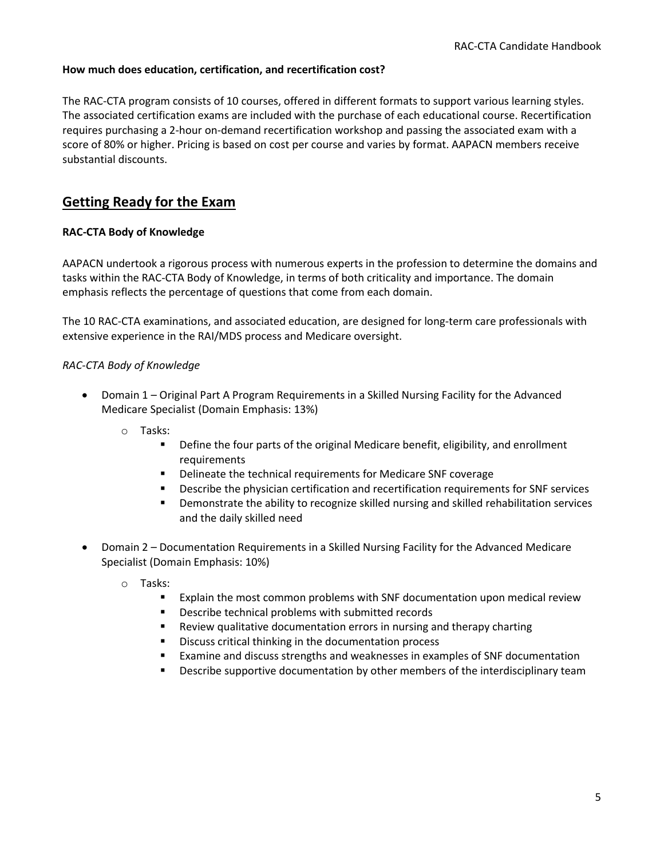#### **How much does education, certification, and recertification cost?**

The RAC-CTA program consists of 10 courses, offered in different formats to support various learning styles. The associated certification exams are included with the purchase of each educational course. Recertification requires purchasing a 2-hour on-demand recertification workshop and passing the associated exam with a score of 80% or higher. Pricing is based on cost per course and varies by format. AAPACN members receive substantial discounts.

## <span id="page-5-0"></span>**Getting Ready for the Exam**

#### <span id="page-5-1"></span>**RAC-CTA Body of Knowledge**

AAPACN undertook a rigorous process with numerous experts in the profession to determine the domains and tasks within the RAC-CTA Body of Knowledge, in terms of both criticality and importance. The domain emphasis reflects the percentage of questions that come from each domain.

The 10 RAC-CTA examinations, and associated education, are designed for long-term care professionals with extensive experience in the RAI/MDS process and Medicare oversight.

#### *RAC-CTA Body of Knowledge*

- Domain 1 Original Part A Program Requirements in a Skilled Nursing Facility for the Advanced Medicare Specialist (Domain Emphasis: 13%)
	- o Tasks:
		- Define the four parts of the original Medicare benefit, eligibility, and enrollment requirements
		- Delineate the technical requirements for Medicare SNF coverage
		- **•** Describe the physician certification and recertification requirements for SNF services
		- Demonstrate the ability to recognize skilled nursing and skilled rehabilitation services and the daily skilled need
- Domain 2 Documentation Requirements in a Skilled Nursing Facility for the Advanced Medicare Specialist (Domain Emphasis: 10%)
	- o Tasks:
		- Explain the most common problems with SNF documentation upon medical review
		- Describe technical problems with submitted records
		- Review qualitative documentation errors in nursing and therapy charting
		- Discuss critical thinking in the documentation process
		- Examine and discuss strengths and weaknesses in examples of SNF documentation
		- **EXEDENT** Describe supportive documentation by other members of the interdisciplinary team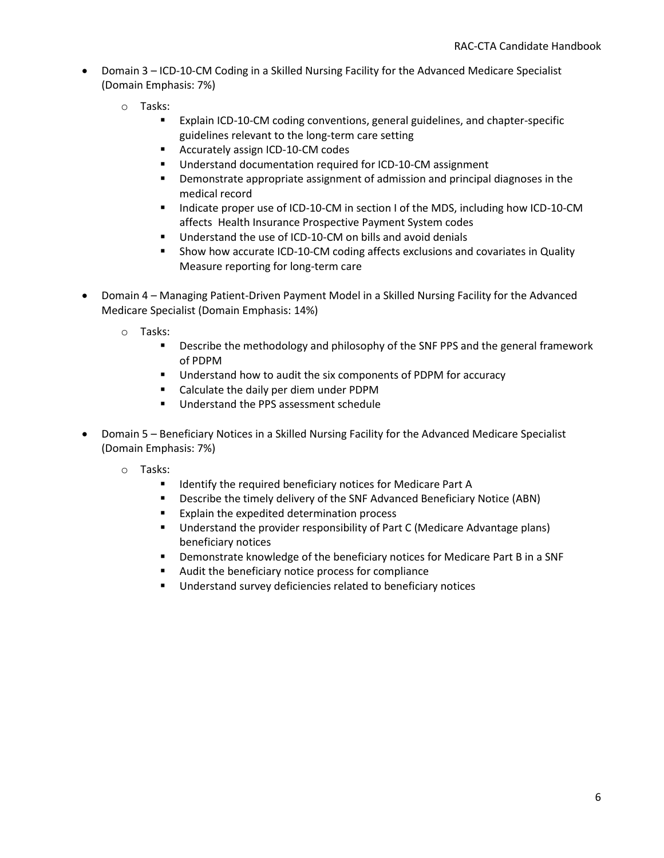- Domain 3 ICD-10-CM Coding in a Skilled Nursing Facility for the Advanced Medicare Specialist (Domain Emphasis: 7%)
	- o Tasks:
		- Explain ICD-10-CM coding conventions, general guidelines, and chapter-specific guidelines relevant to the long-term care setting
		- Accurately assign ICD-10-CM codes
		- Understand documentation required for ICD-10-CM assignment
		- Demonstrate appropriate assignment of admission and principal diagnoses in the medical record
		- Indicate proper use of ICD-10-CM in section I of the MDS, including how ICD-10-CM affects Health Insurance Prospective Payment System codes
		- Understand the use of ICD-10-CM on bills and avoid denials
		- Show how accurate ICD-10-CM coding affects exclusions and covariates in Quality Measure reporting for long-term care
- Domain 4 Managing Patient-Driven Payment Model in a Skilled Nursing Facility for the Advanced Medicare Specialist (Domain Emphasis: 14%)
	- o Tasks:
		- **EXECT** Describe the methodology and philosophy of the SNF PPS and the general framework of PDPM
		- Understand how to audit the six components of PDPM for accuracy
		- Calculate the daily per diem under PDPM
		- Understand the PPS assessment schedule
- Domain 5 Beneficiary Notices in a Skilled Nursing Facility for the Advanced Medicare Specialist (Domain Emphasis: 7%)
	- o Tasks:
		- Identify the required beneficiary notices for Medicare Part A
		- Describe the timely delivery of the SNF Advanced Beneficiary Notice (ABN)
		- Explain the expedited determination process
		- Understand the provider responsibility of Part C (Medicare Advantage plans) beneficiary notices
		- **•** Demonstrate knowledge of the beneficiary notices for Medicare Part B in a SNF
		- Audit the beneficiary notice process for compliance
		- Understand survey deficiencies related to beneficiary notices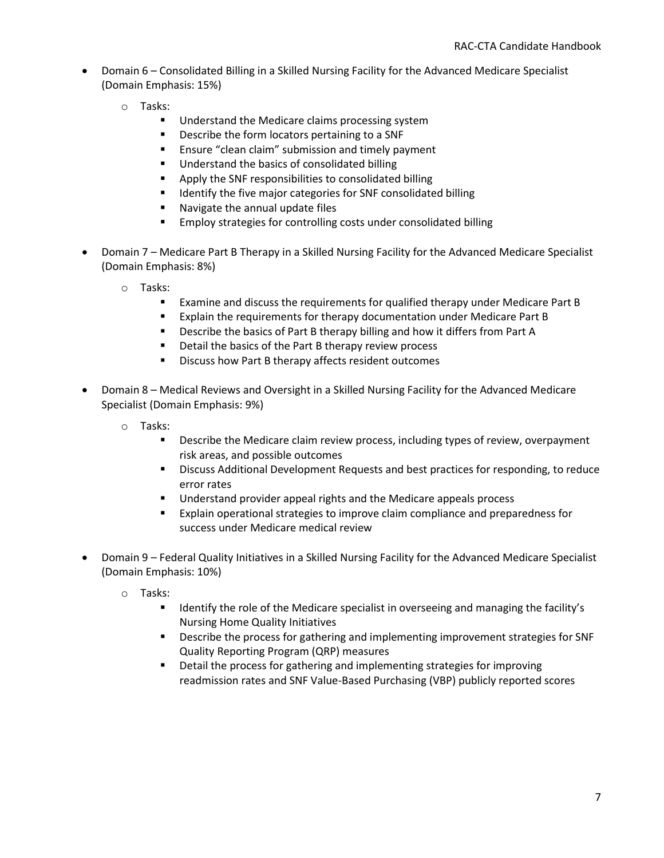- Domain 6 Consolidated Billing in a Skilled Nursing Facility for the Advanced Medicare Specialist (Domain Emphasis: 15%)
	- o Tasks:
		- Understand the Medicare claims processing system
		- Describe the form locators pertaining to a SNF
		- Ensure "clean claim" submission and timely payment
		- Understand the basics of consolidated billing
		- Apply the SNF responsibilities to consolidated billing
		- Identify the five major categories for SNF consolidated billing
		- Navigate the annual update files
		- Employ strategies for controlling costs under consolidated billing
- Domain 7 Medicare Part B Therapy in a Skilled Nursing Facility for the Advanced Medicare Specialist (Domain Emphasis: 8%)
	- o Tasks:
		- Examine and discuss the requirements for qualified therapy under Medicare Part B
		- Explain the requirements for therapy documentation under Medicare Part B
		- Describe the basics of Part B therapy billing and how it differs from Part A
		- Detail the basics of the Part B therapy review process
		- Discuss how Part B therapy affects resident outcomes
- Domain 8 Medical Reviews and Oversight in a Skilled Nursing Facility for the Advanced Medicare Specialist (Domain Emphasis: 9%)
	- o Tasks:
		- **EXEDENTIFY DESCRIPT DESCRIPT ON THE UPS CONCRIPTION IN A LOST PROOF INCOCOLD FIGURAL DESCAL FIGURAL DESCAL FIGURAL PROOF** risk areas, and possible outcomes
		- **EXECT** Discuss Additional Development Requests and best practices for responding, to reduce error rates
		- Understand provider appeal rights and the Medicare appeals process
		- Explain operational strategies to improve claim compliance and preparedness for success under Medicare medical review
- Domain 9 Federal Quality Initiatives in a Skilled Nursing Facility for the Advanced Medicare Specialist (Domain Emphasis: 10%)
	- o Tasks:
		- Identify the role of the Medicare specialist in overseeing and managing the facility's Nursing Home Quality Initiatives
		- Describe the process for gathering and implementing improvement strategies for SNF Quality Reporting Program (QRP) measures
		- Detail the process for gathering and implementing strategies for improving readmission rates and SNF Value-Based Purchasing (VBP) publicly reported scores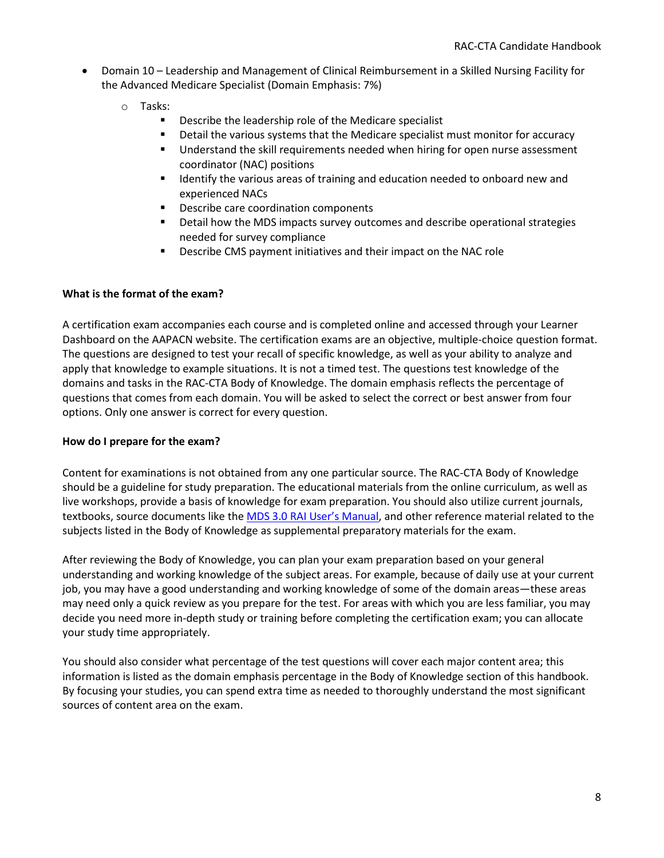- Domain 10 Leadership and Management of Clinical Reimbursement in a Skilled Nursing Facility for the Advanced Medicare Specialist (Domain Emphasis: 7%)
	- o Tasks:
		- Describe the leadership role of the Medicare specialist
		- **•** Detail the various systems that the Medicare specialist must monitor for accuracy
		- Understand the skill requirements needed when hiring for open nurse assessment coordinator (NAC) positions
		- Identify the various areas of training and education needed to onboard new and experienced NACs
		- Describe care coordination components
		- Detail how the MDS impacts survey outcomes and describe operational strategies needed for survey compliance
		- Describe CMS payment initiatives and their impact on the NAC role

#### <span id="page-8-0"></span>**What is the format of the exam?**

A certification exam accompanies each course and is completed online and accessed through your Learner Dashboard on the AAPACN website. The certification exams are an objective, multiple-choice question format. The questions are designed to test your recall of specific knowledge, as well as your ability to analyze and apply that knowledge to example situations. It is not a timed test. The questions test knowledge of the domains and tasks in the RAC-CTA Body of Knowledge. The domain emphasis reflects the percentage of questions that comes from each domain. You will be asked to select the correct or best answer from four options. Only one answer is correct for every question.

#### <span id="page-8-1"></span>**How do I prepare for the exam?**

Content for examinations is not obtained from any one particular source. The RAC-CTA Body of Knowledge should be a guideline for study preparation. The educational materials from the online curriculum, as well as live workshops, provide a basis of knowledge for exam preparation. You should also utilize current journals, textbooks, source documents like the [MDS 3.0 RAI User's Manual](http://www.aanac.org/Information-Resources/RAI-Manual), and other reference material related to the subjects listed in the Body of Knowledge as supplemental preparatory materials for the exam.

After reviewing the Body of Knowledge, you can plan your exam preparation based on your general understanding and working knowledge of the subject areas. For example, because of daily use at your current job, you may have a good understanding and working knowledge of some of the domain areas—these areas may need only a quick review as you prepare for the test. For areas with which you are less familiar, you may decide you need more in-depth study or training before completing the certification exam; you can allocate your study time appropriately.

You should also consider what percentage of the test questions will cover each major content area; this information is listed as the domain emphasis percentage in the Body of Knowledge section of this handbook. By focusing your studies, you can spend extra time as needed to thoroughly understand the most significant sources of content area on the exam.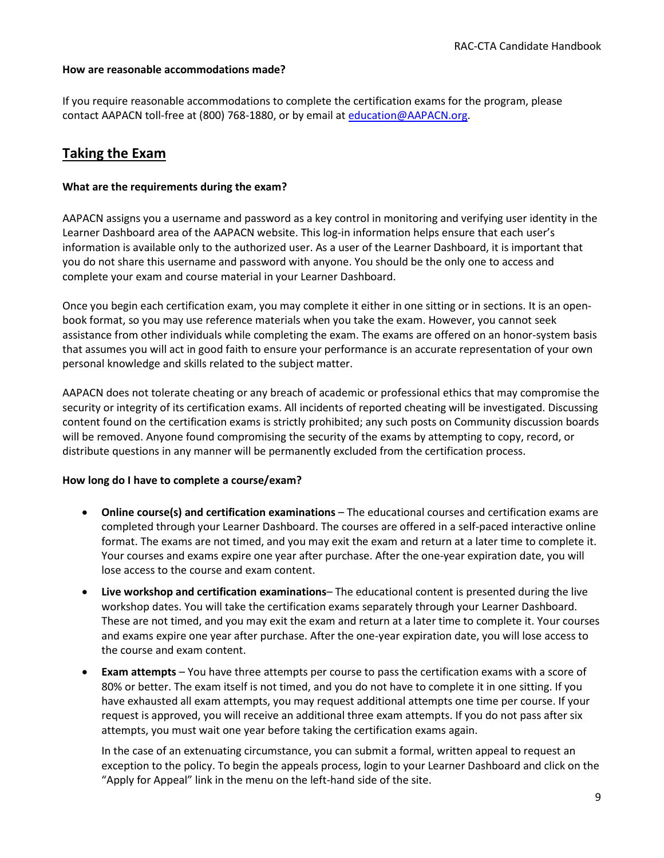#### <span id="page-9-0"></span>**How are reasonable accommodations made?**

If you require reasonable accommodations to complete the certification exams for the program, please contact AAPACN toll-free at (800) 768-1880, or by email at [education@AAPACN.org.](mailto:education@AAPACN.org)

## <span id="page-9-1"></span>**Taking the Exam**

#### <span id="page-9-2"></span>**What are the requirements during the exam?**

AAPACN assigns you a username and password as a key control in monitoring and verifying user identity in the Learner Dashboard area of the AAPACN website. This log-in information helps ensure that each user's information is available only to the authorized user. As a user of the Learner Dashboard, it is important that you do not share this username and password with anyone. You should be the only one to access and complete your exam and course material in your Learner Dashboard.

Once you begin each certification exam, you may complete it either in one sitting or in sections. It is an openbook format, so you may use reference materials when you take the exam. However, you cannot seek assistance from other individuals while completing the exam. The exams are offered on an honor-system basis that assumes you will act in good faith to ensure your performance is an accurate representation of your own personal knowledge and skills related to the subject matter.

AAPACN does not tolerate cheating or any breach of academic or professional ethics that may compromise the security or integrity of its certification exams. All incidents of reported cheating will be investigated. Discussing content found on the certification exams is strictly prohibited; any such posts on Community discussion boards will be removed. Anyone found compromising the security of the exams by attempting to copy, record, or distribute questions in any manner will be permanently excluded from the certification process.

#### <span id="page-9-3"></span>**How long do I have to complete a course/exam?**

- **Online course(s) and certification examinations** The educational courses and certification exams are completed through your Learner Dashboard. The courses are offered in a self-paced interactive online format. The exams are not timed, and you may exit the exam and return at a later time to complete it. Your courses and exams expire one year after purchase. After the one-year expiration date, you will lose access to the course and exam content.
- **Live workshop and certification examinations** The educational content is presented during the live workshop dates. You will take the certification exams separately through your Learner Dashboard. These are not timed, and you may exit the exam and return at a later time to complete it. Your courses and exams expire one year after purchase. After the one-year expiration date, you will lose access to the course and exam content.
- **Exam attempts** You have three attempts per course to pass the certification exams with a score of 80% or better. The exam itself is not timed, and you do not have to complete it in one sitting. If you have exhausted all exam attempts, you may request additional attempts one time per course. If your request is approved, you will receive an additional three exam attempts. If you do not pass after six attempts, you must wait one year before taking the certification exams again.

In the case of an extenuating circumstance, you can submit a formal, written appeal to request an exception to the policy. To begin the appeals process, login to your Learner Dashboard and click on the "Apply for Appeal" link in the menu on the left-hand side of the site.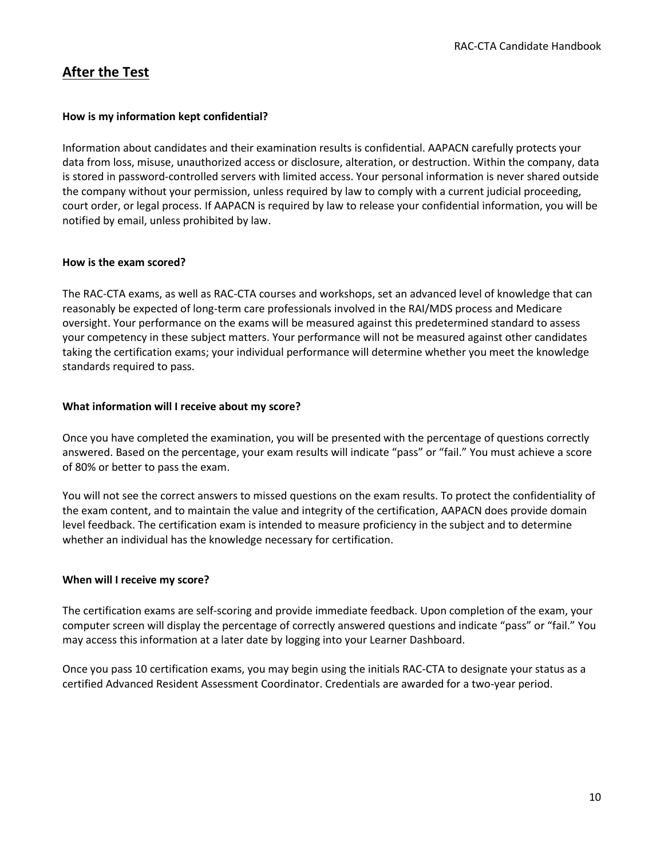## <span id="page-10-0"></span>**After the Test**

#### <span id="page-10-1"></span>**How is my information kept confidential?**

Information about candidates and their examination results is confidential. AAPACN carefully protects your data from loss, misuse, unauthorized access or disclosure, alteration, or destruction. Within the company, data is stored in password-controlled servers with limited access. Your personal information is never shared outside the company without your permission, unless required by law to comply with a current judicial proceeding, court order, or legal process. If AAPACN is required by law to release your confidential information, you will be notified by email, unless prohibited by law.

#### <span id="page-10-2"></span>**How is the exam scored?**

The RAC-CTA exams, as well as RAC-CTA courses and workshops, set an advanced level of knowledge that can reasonably be expected of long-term care professionals involved in the RAI/MDS process and Medicare oversight. Your performance on the exams will be measured against this predetermined standard to assess your competency in these subject matters. Your performance will not be measured against other candidates taking the certification exams; your individual performance will determine whether you meet the knowledge standards required to pass.

#### <span id="page-10-3"></span>**What information will I receive about my score?**

Once you have completed the examination, you will be presented with the percentage of questions correctly answered. Based on the percentage, your exam results will indicate "pass" or "fail." You must achieve a score of 80% or better to pass the exam.

You will not see the correct answers to missed questions on the exam results. To protect the confidentiality of the exam content, and to maintain the value and integrity of the certification, AAPACN does provide domain level feedback. The certification exam is intended to measure proficiency in the subject and to determine whether an individual has the knowledge necessary for certification.

#### <span id="page-10-4"></span>**When will I receive my score?**

The certification exams are self-scoring and provide immediate feedback. Upon completion of the exam, your computer screen will display the percentage of correctly answered questions and indicate "pass" or "fail." You may access this information at a later date by logging into your Learner Dashboard.

Once you pass 10 certification exams, you may begin using the initials RAC-CTA to designate your status as a certified Advanced Resident Assessment Coordinator. Credentials are awarded for a two-year period.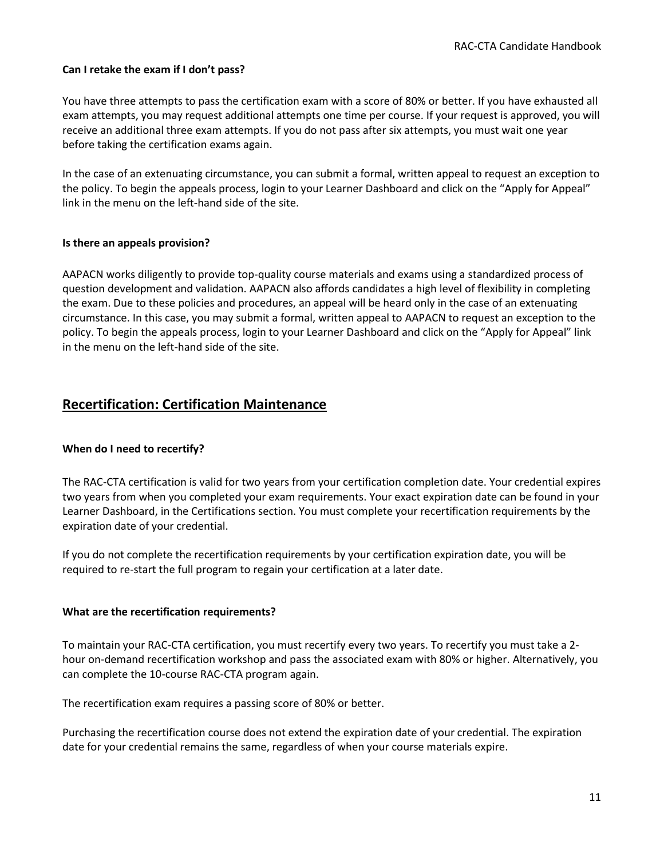#### <span id="page-11-0"></span>**Can I retake the exam if I don't pass?**

You have three attempts to pass the certification exam with a score of 80% or better. If you have exhausted all exam attempts, you may request additional attempts one time per course. If your request is approved, you will receive an additional three exam attempts. If you do not pass after six attempts, you must wait one year before taking the certification exams again.

In the case of an extenuating circumstance, you can submit a formal, written appeal to request an exception to the policy. To begin the appeals process, login to your Learner Dashboard and click on the "Apply for Appeal" link in the menu on the left-hand side of the site.

#### <span id="page-11-1"></span>**Is there an appeals provision?**

AAPACN works diligently to provide top-quality course materials and exams using a standardized process of question development and validation. AAPACN also affords candidates a high level of flexibility in completing the exam. Due to these policies and procedures, an appeal will be heard only in the case of an extenuating circumstance. In this case, you may submit a formal, written appeal to AAPACN to request an exception to the policy. To begin the appeals process, login to your Learner Dashboard and click on the "Apply for Appeal" link in the menu on the left-hand side of the site.

## <span id="page-11-2"></span>**Recertification: Certification Maintenance**

#### <span id="page-11-3"></span>**When do I need to recertify?**

The RAC-CTA certification is valid for two years from your certification completion date. Your credential expires two years from when you completed your exam requirements. Your exact expiration date can be found in your Learner Dashboard, in the Certifications section. You must complete your recertification requirements by the expiration date of your credential.

If you do not complete the recertification requirements by your certification expiration date, you will be required to re-start the full program to regain your certification at a later date.

#### <span id="page-11-4"></span>**What are the recertification requirements?**

To maintain your RAC-CTA certification, you must recertify every two years. To recertify you must take a 2 hour on-demand recertification workshop and pass the associated exam with 80% or higher. Alternatively, you can complete the 10-course RAC-CTA program again.

The recertification exam requires a passing score of 80% or better.

Purchasing the recertification course does not extend the expiration date of your credential. The expiration date for your credential remains the same, regardless of when your course materials expire.